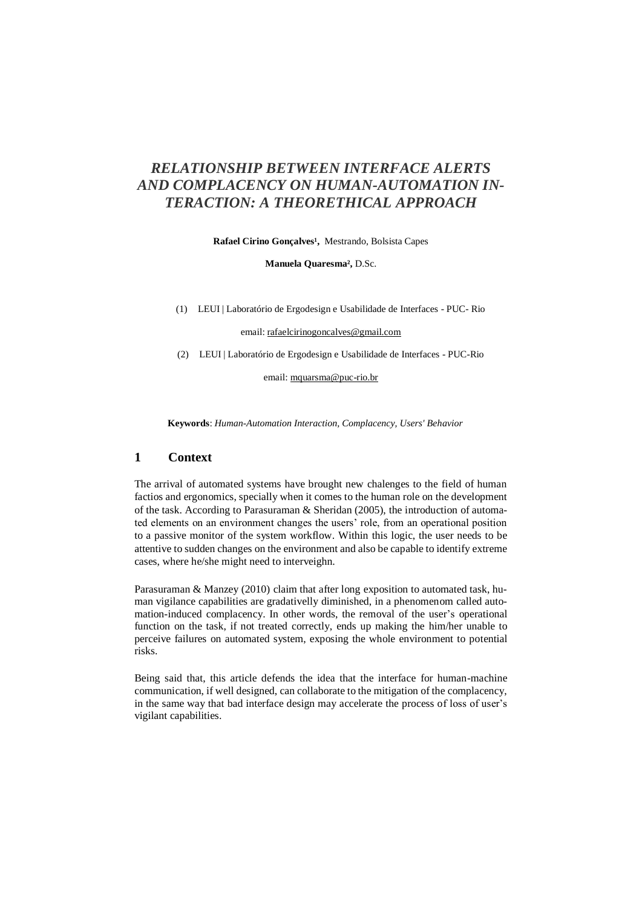# *RELATIONSHIP BETWEEN INTERFACE ALERTS AND COMPLACENCY ON HUMAN-AUTOMATION IN-TERACTION: A THEORETHICAL APPROACH*

Rafael Cirino Gonçalves<sup>1</sup>, Mestrando, Bolsista Capes

**Manuela Quaresma²,** D.Sc.

(1) LEUI | Laboratório de Ergodesign e Usabilidade de Interfaces - PUC- Rio

email: rafaelcirinogoncalves@gmail.com

(2) LEUI | Laboratório de Ergodesign e Usabilidade de Interfaces - PUC-Rio

email: mquarsma@puc-rio.br

**Keywords**: *Human-Automation Interaction, Complacency, Users' Behavior*

### **1 Context**

The arrival of automated systems have brought new chalenges to the field of human factios and ergonomics, specially when it comes to the human role on the development of the task. According to Parasuraman & Sheridan (2005), the introduction of automated elements on an environment changes the users' role, from an operational position to a passive monitor of the system workflow. Within this logic, the user needs to be attentive to sudden changes on the environment and also be capable to identify extreme cases, where he/she might need to interveighn.

Parasuraman & Manzey (2010) claim that after long exposition to automated task, human vigilance capabilities are gradativelly diminished, in a phenomenom called automation-induced complacency. In other words, the removal of the user's operational function on the task, if not treated correctly, ends up making the him/her unable to perceive failures on automated system, exposing the whole environment to potential risks.

Being said that, this article defends the idea that the interface for human-machine communication, if well designed, can collaborate to the mitigation of the complacency, in the same way that bad interface design may accelerate the process of loss of user's vigilant capabilities.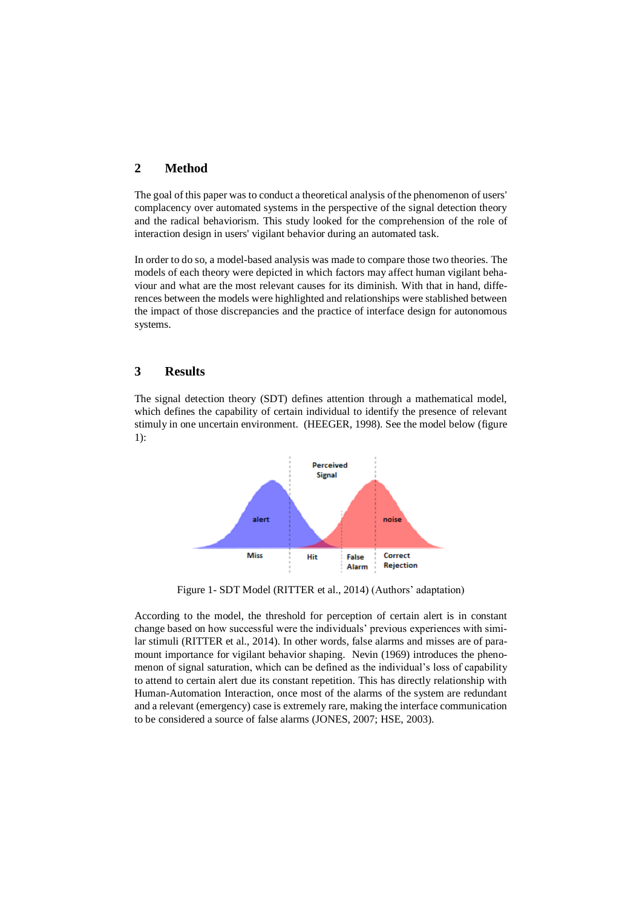### **2 Method**

The goal of this paper was to conduct a theoretical analysis of the phenomenon of users' complacency over automated systems in the perspective of the signal detection theory and the radical behaviorism. This study looked for the comprehension of the role of interaction design in users' vigilant behavior during an automated task.

In order to do so, a model-based analysis was made to compare those two theories. The models of each theory were depicted in which factors may affect human vigilant behaviour and what are the most relevant causes for its diminish. With that in hand, differences between the models were highlighted and relationships were stablished between the impact of those discrepancies and the practice of interface design for autonomous systems.

### **3 Results**

The signal detection theory (SDT) defines attention through a mathematical model, which defines the capability of certain individual to identify the presence of relevant stimuly in one uncertain environment. (HEEGER, 1998). See the model below (figure 1):



Figure 1- SDT Model (RITTER et al., 2014) (Authors' adaptation)

According to the model, the threshold for perception of certain alert is in constant change based on how successful were the individuals' previous experiences with similar stimuli (RITTER et al., 2014). In other words, false alarms and misses are of paramount importance for vigilant behavior shaping. Nevin (1969) introduces the phenomenon of signal saturation, which can be defined as the individual's loss of capability to attend to certain alert due its constant repetition. This has directly relationship with Human-Automation Interaction, once most of the alarms of the system are redundant and a relevant (emergency) case is extremely rare, making the interface communication to be considered a source of false alarms (JONES, 2007; HSE, 2003).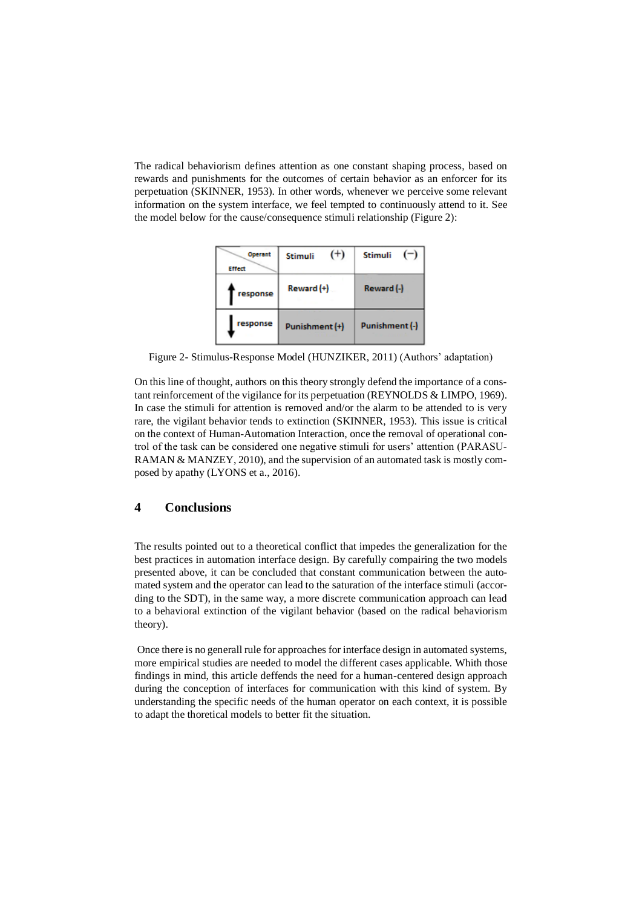The radical behaviorism defines attention as one constant shaping process, based on rewards and punishments for the outcomes of certain behavior as an enforcer for its perpetuation (SKINNER, 1953). In other words, whenever we perceive some relevant information on the system interface, we feel tempted to continuously attend to it. See the model below for the cause/consequence stimuli relationship (Figure 2):



Figure 2- Stimulus-Response Model (HUNZIKER, 2011) (Authors' adaptation)

On this line of thought, authors on this theory strongly defend the importance of a constant reinforcement of the vigilance for its perpetuation (REYNOLDS & LIMPO, 1969). In case the stimuli for attention is removed and/or the alarm to be attended to is very rare, the vigilant behavior tends to extinction (SKINNER, 1953). This issue is critical on the context of Human-Automation Interaction, once the removal of operational control of the task can be considered one negative stimuli for users' attention (PARASU-RAMAN & MANZEY, 2010), and the supervision of an automated task is mostly composed by apathy (LYONS et a., 2016).

#### **4 Conclusions**

The results pointed out to a theoretical conflict that impedes the generalization for the best practices in automation interface design. By carefully compairing the two models presented above, it can be concluded that constant communication between the automated system and the operator can lead to the saturation of the interface stimuli (according to the SDT), in the same way, a more discrete communication approach can lead to a behavioral extinction of the vigilant behavior (based on the radical behaviorism theory).

Once there is no generall rule for approaches for interface design in automated systems, more empirical studies are needed to model the different cases applicable. Whith those findings in mind, this article deffends the need for a human-centered design approach during the conception of interfaces for communication with this kind of system. By understanding the specific needs of the human operator on each context, it is possible to adapt the thoretical models to better fit the situation.